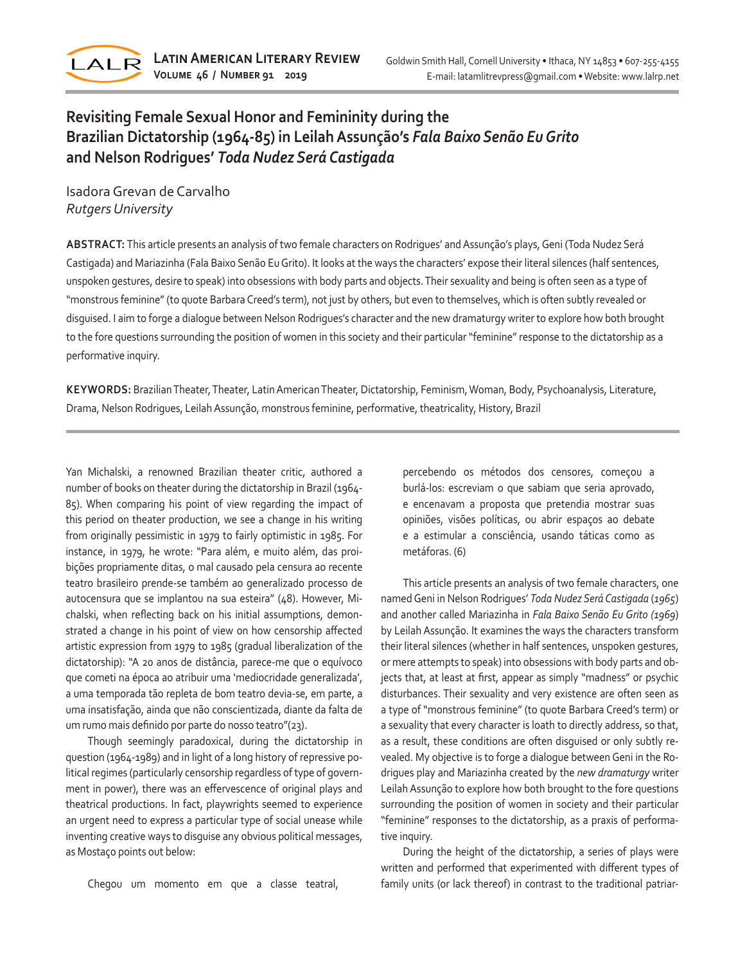

## **Revisiting Female Sexual Honor and Femininity during the Brazilian Dictatorship (1964-85) in Leilah Assunção's** *Fala Baixo Senão Eu Grito* **and Nelson Rodrigues'** *Toda Nudez Será Castigada*

Isadora Grevan de Carvalho *Rutgers University*

**ABSTRACT:** This article presents an analysis of two female characters on Rodrigues' and Assunção's plays, Geni (Toda Nudez Será Castigada) and Mariazinha (Fala Baixo Senão Eu Grito). It looks at the ways the characters' expose their literal silences (half sentences, unspoken gestures, desire to speak) into obsessions with body parts and objects. Their sexuality and being is often seen as a type of "monstrous feminine" (to quote Barbara Creed's term), not just by others, but even to themselves, which is often subtly revealed or disguised. I aim to forge a dialogue between Nelson Rodrigues's character and the new dramaturgy writer to explore how both brought to the fore questions surrounding the position of women in this society and their particular "feminine" response to the dictatorship as a performative inquiry.

**KEYWORDS:** Brazilian Theater, Theater, Latin American Theater, Dictatorship, Feminism, Woman, Body, Psychoanalysis, Literature, Drama, Nelson Rodrigues, Leilah Assunção, monstrous feminine, performative, theatricality, History, Brazil

Yan Michalski, a renowned Brazilian theater critic, authored a number of books on theater during the dictatorship in Brazil (1964- 85). When comparing his point of view regarding the impact of this period on theater production, we see a change in his writing from originally pessimistic in 1979 to fairly optimistic in 1985. For instance, in 1979, he wrote: "Para além, e muito além, das proibições propriamente ditas, o mal causado pela censura ao recente teatro brasileiro prende-se também ao generalizado processo de autocensura que se implantou na sua esteira" (48). However, Michalski, when reflecting back on his initial assumptions, demonstrated a change in his point of view on how censorship affected artistic expression from 1979 to 1985 (gradual liberalization of the dictatorship): "A 20 anos de distância, parece-me que o equívoco que cometi na época ao atribuir uma 'mediocridade generalizada', a uma temporada tão repleta de bom teatro devia-se, em parte, a uma insatisfação, ainda que não conscientizada, diante da falta de um rumo mais definido por parte do nosso teatro"(23).

Though seemingly paradoxical, during the dictatorship in question (1964-1989) and in light of a long history of repressive political regimes (particularly censorship regardless of type of government in power), there was an effervescence of original plays and theatrical productions. In fact, playwrights seemed to experience an urgent need to express a particular type of social unease while inventing creative ways to disguise any obvious political messages, as Mostaço points out below:

Chegou um momento em que a classe teatral,

percebendo os métodos dos censores, começou a burlá-los: escreviam o que sabiam que seria aprovado, e encenavam a proposta que pretendia mostrar suas opiniões, visões políticas, ou abrir espaços ao debate e a estimular a consciência, usando táticas como as metáforas. (6)

This article presents an analysis of two female characters, one named Geni in Nelson Rodrigues' *Toda Nudez Será Castigada* (*1965*) and another called Mariazinha in *Fala Baixo Senão Eu Grito (1969*) by Leilah Assunção. It examines the ways the characters transform their literal silences (whether in half sentences, unspoken gestures, or mere attempts to speak) into obsessions with body parts and objects that, at least at first, appear as simply "madness" or psychic disturbances. Their sexuality and very existence are often seen as a type of "monstrous feminine" (to quote Barbara Creed's term) or a sexuality that every character is loath to directly address, so that, as a result, these conditions are often disguised or only subtly revealed. My objective is to forge a dialogue between Geni in the Rodrigues play and Mariazinha created by the *new dramaturgy* writer Leilah Assunção to explore how both brought to the fore questions surrounding the position of women in society and their particular "feminine" responses to the dictatorship, as a praxis of performative inquiry.

During the height of the dictatorship, a series of plays were written and performed that experimented with different types of family units (or lack thereof) in contrast to the traditional patriar-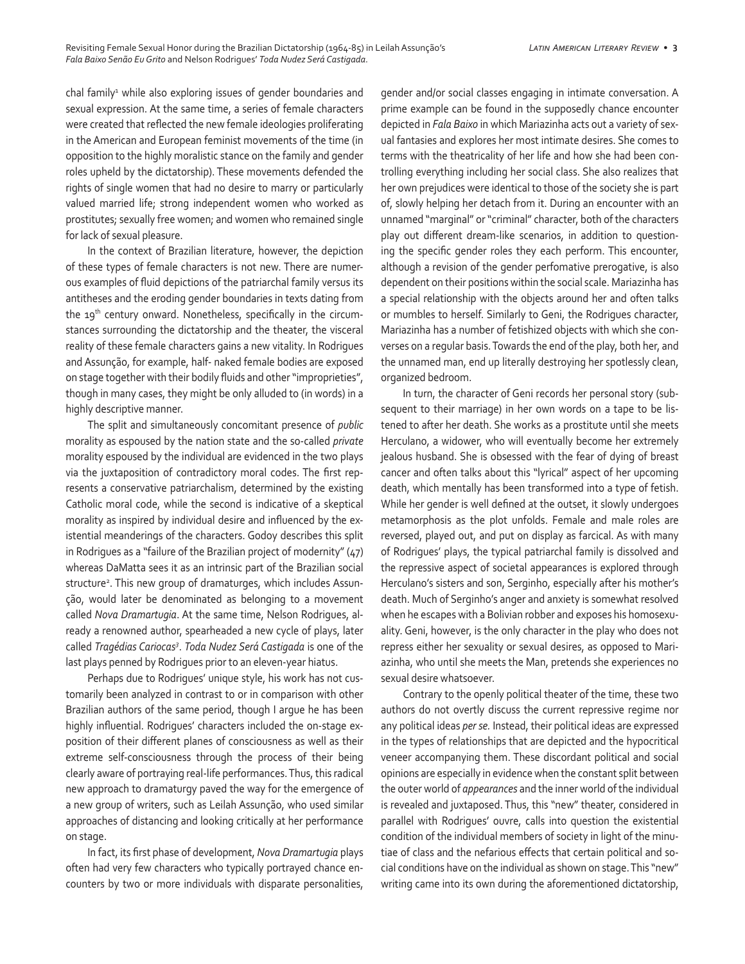chal family<sup>1</sup> while also exploring issues of gender boundaries and sexual expression. At the same time, a series of female characters were created that reflected the new female ideologies proliferating in the American and European feminist movements of the time (in opposition to the highly moralistic stance on the family and gender roles upheld by the dictatorship). These movements defended the rights of single women that had no desire to marry or particularly valued married life; strong independent women who worked as prostitutes; sexually free women; and women who remained single for lack of sexual pleasure.

In the context of Brazilian literature, however, the depiction of these types of female characters is not new. There are numerous examples of fluid depictions of the patriarchal family versus its antitheses and the eroding gender boundaries in texts dating from the 19<sup>th</sup> century onward. Nonetheless, specifically in the circumstances surrounding the dictatorship and the theater, the visceral reality of these female characters gains a new vitality. In Rodrigues and Assunção, for example, half- naked female bodies are exposed on stage together with their bodily fluids and other "improprieties", though in many cases, they might be only alluded to (in words) in a highly descriptive manner.

The split and simultaneously concomitant presence of *public* morality as espoused by the nation state and the so-called *private* morality espoused by the individual are evidenced in the two plays via the juxtaposition of contradictory moral codes. The first represents a conservative patriarchalism, determined by the existing Catholic moral code, while the second is indicative of a skeptical morality as inspired by individual desire and influenced by the existential meanderings of the characters. Godoy describes this split in Rodrigues as a "failure of the Brazilian project of modernity" (47) whereas DaMatta sees it as an intrinsic part of the Brazilian social structure<sup>2</sup>. This new group of dramaturges, which includes Assunção, would later be denominated as belonging to a movement called *Nova Dramartugia*. At the same time, Nelson Rodrigues, already a renowned author, spearheaded a new cycle of plays, later called *Tragédias Cariocas3* . *Toda Nudez Será Castigada* is one of the last plays penned by Rodrigues prior to an eleven-year hiatus.

Perhaps due to Rodrigues' unique style, his work has not customarily been analyzed in contrast to or in comparison with other Brazilian authors of the same period, though I argue he has been highly influential. Rodrigues' characters included the on-stage exposition of their different planes of consciousness as well as their extreme self-consciousness through the process of their being clearly aware of portraying real-life performances. Thus, this radical new approach to dramaturgy paved the way for the emergence of a new group of writers, such as Leilah Assunção, who used similar approaches of distancing and looking critically at her performance on stage.

In fact, its first phase of development, *Nova Dramartugia* plays often had very few characters who typically portrayed chance encounters by two or more individuals with disparate personalities,

gender and/or social classes engaging in intimate conversation. A prime example can be found in the supposedly chance encounter depicted in *Fala Baixo* in which Mariazinha acts out a variety of sexual fantasies and explores her most intimate desires. She comes to terms with the theatricality of her life and how she had been controlling everything including her social class. She also realizes that her own prejudices were identical to those of the society she is part of, slowly helping her detach from it. During an encounter with an unnamed "marginal" or "criminal" character, both of the characters play out different dream-like scenarios, in addition to questioning the specific gender roles they each perform. This encounter, although a revision of the gender perfomative prerogative, is also dependent on their positions within the social scale. Mariazinha has a special relationship with the objects around her and often talks or mumbles to herself. Similarly to Geni, the Rodrigues character, Mariazinha has a number of fetishized objects with which she converses on a regular basis. Towards the end of the play, both her, and the unnamed man, end up literally destroying her spotlessly clean, organized bedroom.

In turn, the character of Geni records her personal story (subsequent to their marriage) in her own words on a tape to be listened to after her death. She works as a prostitute until she meets Herculano, a widower, who will eventually become her extremely jealous husband. She is obsessed with the fear of dying of breast cancer and often talks about this "lyrical" aspect of her upcoming death, which mentally has been transformed into a type of fetish. While her gender is well defined at the outset, it slowly undergoes metamorphosis as the plot unfolds. Female and male roles are reversed, played out, and put on display as farcical. As with many of Rodrigues' plays, the typical patriarchal family is dissolved and the repressive aspect of societal appearances is explored through Herculano's sisters and son, Serginho, especially after his mother's death. Much of Serginho's anger and anxiety is somewhat resolved when he escapes with a Bolivian robber and exposes his homosexuality. Geni, however, is the only character in the play who does not repress either her sexuality or sexual desires, as opposed to Mariazinha, who until she meets the Man, pretends she experiences no sexual desire whatsoever.

Contrary to the openly political theater of the time, these two authors do not overtly discuss the current repressive regime nor any political ideas *per se.* Instead, their political ideas are expressed in the types of relationships that are depicted and the hypocritical veneer accompanying them. These discordant political and social opinions are especially in evidence when the constant split between the outer world of *appearances* and the inner world of the individual is revealed and juxtaposed. Thus, this "new" theater, considered in parallel with Rodrigues' ouvre, calls into question the existential condition of the individual members of society in light of the minutiae of class and the nefarious effects that certain political and social conditions have on the individual as shown on stage. This "new" writing came into its own during the aforementioned dictatorship,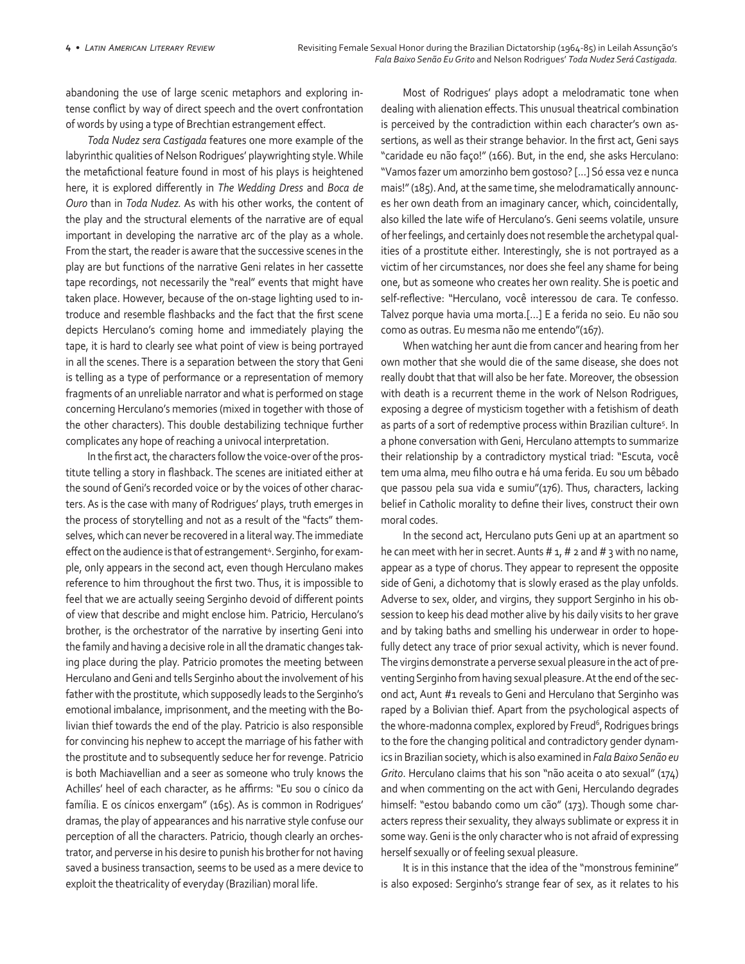abandoning the use of large scenic metaphors and exploring intense conflict by way of direct speech and the overt confrontation of words by using a type of Brechtian estrangement effect.

*Toda Nudez sera Castigada* features one more example of the labyrinthic qualities of Nelson Rodrigues' playwrighting style. While the metafictional feature found in most of his plays is heightened here, it is explored differently in *The Wedding Dress* and *Boca de Ouro* than in *Toda Nudez.* As with his other works, the content of the play and the structural elements of the narrative are of equal important in developing the narrative arc of the play as a whole. From the start, the reader is aware that the successive scenes in the play are but functions of the narrative Geni relates in her cassette tape recordings, not necessarily the "real" events that might have taken place. However, because of the on-stage lighting used to introduce and resemble flashbacks and the fact that the first scene depicts Herculano's coming home and immediately playing the tape, it is hard to clearly see what point of view is being portrayed in all the scenes. There is a separation between the story that Geni is telling as a type of performance or a representation of memory fragments of an unreliable narrator and what is performed on stage concerning Herculano's memories (mixed in together with those of the other characters). This double destabilizing technique further complicates any hope of reaching a univocal interpretation.

In the first act, the characters follow the voice-over of the prostitute telling a story in flashback. The scenes are initiated either at the sound of Geni's recorded voice or by the voices of other characters. As is the case with many of Rodrigues' plays, truth emerges in the process of storytelling and not as a result of the "facts" themselves, which can never be recovered in a literal way. The immediate effect on the audience is that of estrangement<sup>4</sup>. Serginho, for example, only appears in the second act, even though Herculano makes reference to him throughout the first two. Thus, it is impossible to feel that we are actually seeing Serginho devoid of different points of view that describe and might enclose him. Patricio, Herculano's brother, is the orchestrator of the narrative by inserting Geni into the family and having a decisive role in all the dramatic changes taking place during the play. Patricio promotes the meeting between Herculano and Geni and tells Serginho about the involvement of his father with the prostitute, which supposedly leads to the Serginho's emotional imbalance, imprisonment, and the meeting with the Bolivian thief towards the end of the play. Patricio is also responsible for convincing his nephew to accept the marriage of his father with the prostitute and to subsequently seduce her for revenge. Patricio is both Machiavellian and a seer as someone who truly knows the Achilles' heel of each character, as he affirms: "Eu sou o cínico da família. E os cínicos enxergam" (165). As is common in Rodrigues' dramas, the play of appearances and his narrative style confuse our perception of all the characters. Patricio, though clearly an orchestrator, and perverse in his desire to punish his brother for not having saved a business transaction, seems to be used as a mere device to exploit the theatricality of everyday (Brazilian) moral life.

Most of Rodrigues' plays adopt a melodramatic tone when dealing with alienation effects. This unusual theatrical combination is perceived by the contradiction within each character's own assertions, as well as their strange behavior. In the first act, Geni says "caridade eu não faço!" (166). But, in the end, she asks Herculano: "Vamos fazer um amorzinho bem gostoso? [...] Só essa vez e nunca mais!" (185). And, at the same time, she melodramatically announces her own death from an imaginary cancer, which, coincidentally, also killed the late wife of Herculano's. Geni seems volatile, unsure of her feelings, and certainly does not resemble the archetypal qualities of a prostitute either. Interestingly, she is not portrayed as a victim of her circumstances, nor does she feel any shame for being one, but as someone who creates her own reality. She is poetic and self-reflective: "Herculano, você interessou de cara. Te confesso. Talvez porque havia uma morta.[…] E a ferida no seio. Eu não sou como as outras. Eu mesma não me entendo"(167).

When watching her aunt die from cancer and hearing from her own mother that she would die of the same disease, she does not really doubt that that will also be her fate. Moreover, the obsession with death is a recurrent theme in the work of Nelson Rodrigues, exposing a degree of mysticism together with a fetishism of death as parts of a sort of redemptive process within Brazilian culture<sup>5</sup>. In a phone conversation with Geni, Herculano attempts to summarize their relationship by a contradictory mystical triad: "Escuta, você tem uma alma, meu filho outra e há uma ferida. Eu sou um bêbado que passou pela sua vida e sumiu"(176). Thus, characters, lacking belief in Catholic morality to define their lives, construct their own moral codes.

In the second act, Herculano puts Geni up at an apartment so he can meet with her in secret. Aunts  $# 1, # 2$  and  $# 3$  with no name, appear as a type of chorus. They appear to represent the opposite side of Geni, a dichotomy that is slowly erased as the play unfolds. Adverse to sex, older, and virgins, they support Serginho in his obsession to keep his dead mother alive by his daily visits to her grave and by taking baths and smelling his underwear in order to hopefully detect any trace of prior sexual activity, which is never found. The virgins demonstrate a perverse sexual pleasure in the act of preventing Serginho from having sexual pleasure. At the end of the second act, Aunt #1 reveals to Geni and Herculano that Serginho was raped by a Bolivian thief. Apart from the psychological aspects of the whore-madonna complex, explored by Freud<sup>6</sup>, Rodrigues brings to the fore the changing political and contradictory gender dynamics in Brazilian society, which is also examined in *Fala Baixo Senão eu Grito*. Herculano claims that his son "não aceita o ato sexual" (174) and when commenting on the act with Geni, Herculando degrades himself: "estou babando como um cão" (173). Though some characters repress their sexuality, they always sublimate or express it in some way. Geni is the only character who is not afraid of expressing herself sexually or of feeling sexual pleasure.

It is in this instance that the idea of the "monstrous feminine" is also exposed: Serginho's strange fear of sex, as it relates to his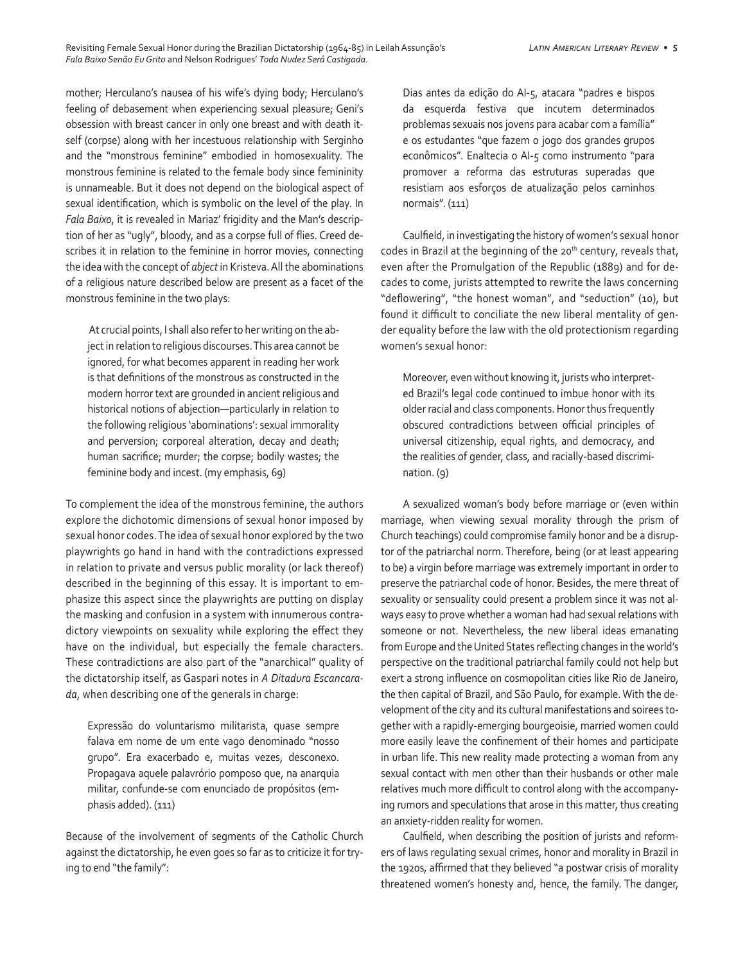mother; Herculano's nausea of his wife's dying body; Herculano's feeling of debasement when experiencing sexual pleasure; Geni's obsession with breast cancer in only one breast and with death itself (corpse) along with her incestuous relationship with Serginho and the "monstrous feminine" embodied in homosexuality. The monstrous feminine is related to the female body since femininity is unnameable. But it does not depend on the biological aspect of sexual identification, which is symbolic on the level of the play. In *Fala Baixo*, it is revealed in Mariaz' frigidity and the Man's description of her as "ugly", bloody, and as a corpse full of flies. Creed describes it in relation to the feminine in horror movies, connecting the idea with the concept of *abject* in Kristeva. All the abominations of a religious nature described below are present as a facet of the monstrous feminine in the two plays:

 At crucial points, I shall also refer to her writing on the abject in relation to religious discourses. This area cannot be ignored, for what becomes apparent in reading her work is that definitions of the monstrous as constructed in the modern horror text are grounded in ancient religious and historical notions of abjection—particularly in relation to the following religious 'abominations': sexual immorality and perversion; corporeal alteration, decay and death; human sacrifice; murder; the corpse; bodily wastes; the feminine body and incest. (my emphasis, 69)

To complement the idea of the monstrous feminine, the authors explore the dichotomic dimensions of sexual honor imposed by sexual honor codes. The idea of sexual honor explored by the two playwrights go hand in hand with the contradictions expressed in relation to private and versus public morality (or lack thereof) described in the beginning of this essay. It is important to emphasize this aspect since the playwrights are putting on display the masking and confusion in a system with innumerous contradictory viewpoints on sexuality while exploring the effect they have on the individual, but especially the female characters. These contradictions are also part of the "anarchical" quality of the dictatorship itself, as Gaspari notes in *A Ditadura Escancarada*, when describing one of the generals in charge:

Expressão do voluntarismo militarista, quase sempre falava em nome de um ente vago denominado "nosso grupo". Era exacerbado e, muitas vezes, desconexo. Propagava aquele palavrório pomposo que, na anarquia militar, confunde-se com enunciado de propósitos (emphasis added). (111)

Because of the involvement of segments of the Catholic Church against the dictatorship, he even goes so far as to criticize it for trying to end "the family":

Dias antes da edição do AI-5, atacara "padres e bispos da esquerda festiva que incutem determinados problemas sexuais nos jovens para acabar com a família" e os estudantes "que fazem o jogo dos grandes grupos econômicos". Enaltecia o AI-5 como instrumento "para promover a reforma das estruturas superadas que resistiam aos esforços de atualização pelos caminhos normais". (111)

Caulfield, in investigating the history of women's sexual honor codes in Brazil at the beginning of the 20<sup>th</sup> century, reveals that, even after the Promulgation of the Republic (1889) and for decades to come, jurists attempted to rewrite the laws concerning "deflowering", "the honest woman", and "seduction" (10), but found it difficult to conciliate the new liberal mentality of gender equality before the law with the old protectionism regarding women's sexual honor:

Moreover, even without knowing it, jurists who interpreted Brazil's legal code continued to imbue honor with its older racial and class components. Honor thus frequently obscured contradictions between official principles of universal citizenship, equal rights, and democracy, and the realities of gender, class, and racially-based discrimination. (9)

A sexualized woman's body before marriage or (even within marriage, when viewing sexual morality through the prism of Church teachings) could compromise family honor and be a disruptor of the patriarchal norm. Therefore, being (or at least appearing to be) a virgin before marriage was extremely important in order to preserve the patriarchal code of honor. Besides, the mere threat of sexuality or sensuality could present a problem since it was not always easy to prove whether a woman had had sexual relations with someone or not. Nevertheless, the new liberal ideas emanating from Europe and the United States reflecting changes in the world's perspective on the traditional patriarchal family could not help but exert a strong influence on cosmopolitan cities like Rio de Janeiro, the then capital of Brazil, and São Paulo, for example. With the development of the city and its cultural manifestations and soirees together with a rapidly-emerging bourgeoisie, married women could more easily leave the confinement of their homes and participate in urban life. This new reality made protecting a woman from any sexual contact with men other than their husbands or other male relatives much more difficult to control along with the accompanying rumors and speculations that arose in this matter, thus creating an anxiety-ridden reality for women.

Caulfield, when describing the position of jurists and reformers of laws regulating sexual crimes, honor and morality in Brazil in the 1920s, affirmed that they believed "a postwar crisis of morality threatened women's honesty and, hence, the family. The danger,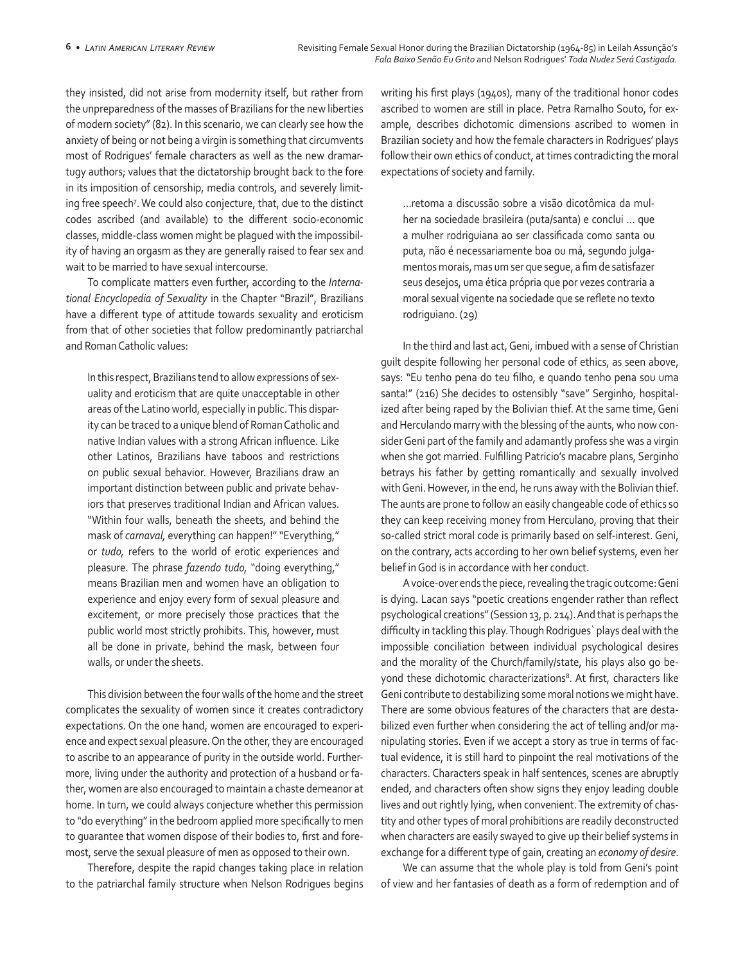they insisted, did not arise from modernity itself, but rather from the unpreparedness of the masses of Brazilians for the new liberties of modern society" (82). In this scenario, we can clearly see how the anxiety of being or not being a virgin is something that circumvents most of Rodrigues' female characters as well as the new dramartugy authors; values that the dictatorship brought back to the fore in its imposition of censorship, media controls, and severely limiting free speech7 . We could also conjecture, that, due to the distinct codes ascribed (and available) to the different socio-economic classes, middle-class women might be plagued with the impossibility of having an orgasm as they are generally raised to fear sex and wait to be married to have sexual intercourse.

To complicate matters even further, according to the *International Encyclopedia of Sexuality* in the Chapter "Brazil", Brazilians have a different type of attitude towards sexuality and eroticism from that of other societies that follow predominantly patriarchal and Roman Catholic values:

In this respect, Brazilians tend to allow expressions of sexuality and eroticism that are quite unacceptable in other areas of the Latino world, especially in public. This disparity can be traced to a unique blend of Roman Catholic and native Indian values with a strong African influence. Like other Latinos, Brazilians have taboos and restrictions on public sexual behavior. However, Brazilians draw an important distinction between public and private behaviors that preserves traditional Indian and African values. "Within four walls, beneath the sheets, and behind the mask of *carnaval,* everything can happen!" "Everything," or *tudo,* refers to the world of erotic experiences and pleasure. The phrase *fazendo tudo,* "doing everything," means Brazilian men and women have an obligation to experience and enjoy every form of sexual pleasure and excitement, or more precisely those practices that the public world most strictly prohibits. This, however, must all be done in private, behind the mask, between four walls, or under the sheets.

This division between the four walls of the home and the street complicates the sexuality of women since it creates contradictory expectations. On the one hand, women are encouraged to experience and expect sexual pleasure. On the other, they are encouraged to ascribe to an appearance of purity in the outside world. Furthermore, living under the authority and protection of a husband or father, women are also encouraged to maintain a chaste demeanor at home. In turn, we could always conjecture whether this permission to "do everything" in the bedroom applied more specifically to men to guarantee that women dispose of their bodies to, first and foremost, serve the sexual pleasure of men as opposed to their own.

Therefore, despite the rapid changes taking place in relation to the patriarchal family structure when Nelson Rodrigues begins writing his first plays (1940s), many of the traditional honor codes ascribed to women are still in place. Petra Ramalho Souto, for example, describes dichotomic dimensions ascribed to women in Brazilian society and how the female characters in Rodrigues' plays follow their own ethics of conduct, at times contradicting the moral expectations of society and family.

…retoma a discussão sobre a visão dicotômica da mulher na sociedade brasileira (puta/santa) e conclui … que a mulher rodriguiana ao ser classificada como santa ou puta, não é necessariamente boa ou má, segundo julgamentos morais, mas um ser que segue, a fim de satisfazer seus desejos, uma ética própria que por vezes contraria a moral sexual vigente na sociedade que se reflete no texto rodriguiano. (29)

In the third and last act, Geni, imbued with a sense of Christian guilt despite following her personal code of ethics, as seen above, says: "Eu tenho pena do teu filho, e quando tenho pena sou uma santa!" (216) She decides to ostensibly "save" Serginho, hospitalized after being raped by the Bolivian thief. At the same time, Geni and Herculando marry with the blessing of the aunts, who now consider Geni part of the family and adamantly profess she was a virgin when she got married. Fulfilling Patricio's macabre plans, Serginho betrays his father by getting romantically and sexually involved with Geni. However, in the end, he runs away with the Bolivian thief. The aunts are prone to follow an easily changeable code of ethics so they can keep receiving money from Herculano, proving that their so-called strict moral code is primarily based on self-interest. Geni, on the contrary, acts according to her own belief systems, even her belief in God is in accordance with her conduct.

A voice-over ends the piece, revealing the tragic outcome: Geni is dying. Lacan says "poetic creations engender rather than reflect psychological creations" (Session 13, p. 214). And that is perhaps the difficulty in tackling this play. Though Rodrigues` plays deal with the impossible conciliation between individual psychological desires and the morality of the Church/family/state, his plays also go beyond these dichotomic characterizations<sup>8</sup>. At first, characters like Geni contribute to destabilizing some moral notions we might have. There are some obvious features of the characters that are destabilized even further when considering the act of telling and/or manipulating stories. Even if we accept a story as true in terms of factual evidence, it is still hard to pinpoint the real motivations of the characters. Characters speak in half sentences, scenes are abruptly ended, and characters often show signs they enjoy leading double lives and out rightly lying, when convenient. The extremity of chastity and other types of moral prohibitions are readily deconstructed when characters are easily swayed to give up their belief systems in exchange for a different type of gain, creating an *economy of desire*.

We can assume that the whole play is told from Geni's point of view and her fantasies of death as a form of redemption and of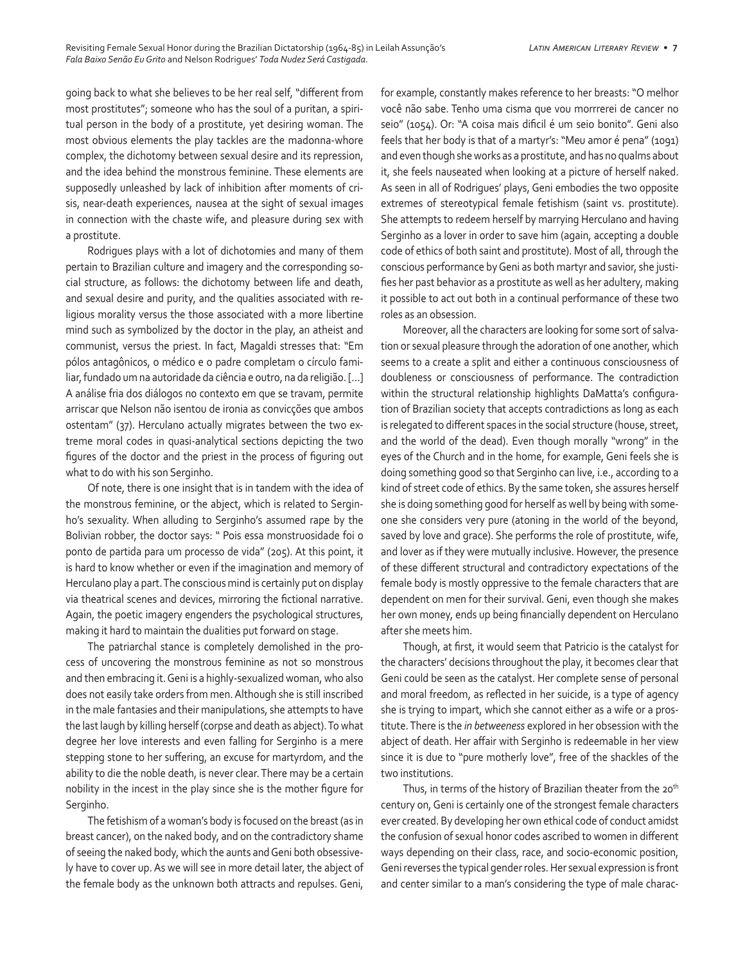going back to what she believes to be her real self, "different from most prostitutes"; someone who has the soul of a puritan, a spiritual person in the body of a prostitute, yet desiring woman. The most obvious elements the play tackles are the madonna-whore complex, the dichotomy between sexual desire and its repression, and the idea behind the monstrous feminine. These elements are supposedly unleashed by lack of inhibition after moments of crisis, near-death experiences, nausea at the sight of sexual images in connection with the chaste wife, and pleasure during sex with a prostitute.

Rodrigues plays with a lot of dichotomies and many of them pertain to Brazilian culture and imagery and the corresponding social structure, as follows: the dichotomy between life and death, and sexual desire and purity, and the qualities associated with religious morality versus the those associated with a more libertine mind such as symbolized by the doctor in the play, an atheist and communist, versus the priest. In fact, Magaldi stresses that: "Em pólos antagônicos, o médico e o padre completam o círculo familiar, fundado um na autoridade da ciência e outro, na da religião. […] A análise fria dos diálogos no contexto em que se travam, permite arriscar que Nelson não isentou de ironia as convicções que ambos ostentam" (37). Herculano actually migrates between the two extreme moral codes in quasi-analytical sections depicting the two figures of the doctor and the priest in the process of figuring out what to do with his son Serginho.

Of note, there is one insight that is in tandem with the idea of the monstrous feminine, or the abject, which is related to Serginho's sexuality. When alluding to Serginho's assumed rape by the Bolivian robber, the doctor says: " Pois essa monstruosidade foi o ponto de partida para um processo de vida" (205). At this point, it is hard to know whether or even if the imagination and memory of Herculano play a part. The conscious mind is certainly put on display via theatrical scenes and devices, mirroring the fictional narrative. Again, the poetic imagery engenders the psychological structures, making it hard to maintain the dualities put forward on stage.

The patriarchal stance is completely demolished in the process of uncovering the monstrous feminine as not so monstrous and then embracing it. Geni is a highly-sexualized woman, who also does not easily take orders from men. Although she is still inscribed in the male fantasies and their manipulations, she attempts to have the last laugh by killing herself (corpse and death as abject). To what degree her love interests and even falling for Serginho is a mere stepping stone to her suffering, an excuse for martyrdom, and the ability to die the noble death, is never clear. There may be a certain nobility in the incest in the play since she is the mother figure for Serginho.

The fetishism of a woman's body is focused on the breast (as in breast cancer), on the naked body, and on the contradictory shame of seeing the naked body, which the aunts and Geni both obsessively have to cover up. As we will see in more detail later, the abject of the female body as the unknown both attracts and repulses. Geni,

for example, constantly makes reference to her breasts: "O melhor você não sabe. Tenho uma cisma que vou morrrerei de cancer no seio" (1054). Or: "A coisa mais dificil é um seio bonito". Geni also feels that her body is that of a martyr's: "Meu amor é pena" (1091) and even though she works as a prostitute, and has no qualms about it, she feels nauseated when looking at a picture of herself naked. As seen in all of Rodrigues' plays, Geni embodies the two opposite extremes of stereotypical female fetishism (saint vs. prostitute). She attempts to redeem herself by marrying Herculano and having Serginho as a lover in order to save him (again, accepting a double code of ethics of both saint and prostitute). Most of all, through the conscious performance by Geni as both martyr and savior, she justifies her past behavior as a prostitute as well as her adultery, making it possible to act out both in a continual performance of these two roles as an obsession.

Moreover, all the characters are looking for some sort of salvation or sexual pleasure through the adoration of one another, which seems to a create a split and either a continuous consciousness of doubleness or consciousness of performance. The contradiction within the structural relationship highlights DaMatta's configuration of Brazilian society that accepts contradictions as long as each is relegated to different spaces in the social structure (house, street, and the world of the dead). Even though morally "wrong" in the eyes of the Church and in the home, for example, Geni feels she is doing something good so that Serginho can live, i.e., according to a kind of street code of ethics. By the same token, she assures herself she is doing something good for herself as well by being with someone she considers very pure (atoning in the world of the beyond, saved by love and grace). She performs the role of prostitute, wife, and lover as if they were mutually inclusive. However, the presence of these different structural and contradictory expectations of the female body is mostly oppressive to the female characters that are dependent on men for their survival. Geni, even though she makes her own money, ends up being financially dependent on Herculano after she meets him.

Though, at first, it would seem that Patricio is the catalyst for the characters' decisions throughout the play, it becomes clear that Geni could be seen as the catalyst. Her complete sense of personal and moral freedom, as reflected in her suicide, is a type of agency she is trying to impart, which she cannot either as a wife or a prostitute. There is the *in betweeness* explored in her obsession with the abject of death. Her affair with Serginho is redeemable in her view since it is due to "pure motherly love", free of the shackles of the two institutions.

Thus, in terms of the history of Brazilian theater from the 20<sup>th</sup> century on, Geni is certainly one of the strongest female characters ever created. By developing her own ethical code of conduct amidst the confusion of sexual honor codes ascribed to women in different ways depending on their class, race, and socio-economic position, Geni reverses the typical gender roles. Her sexual expression is front and center similar to a man's considering the type of male charac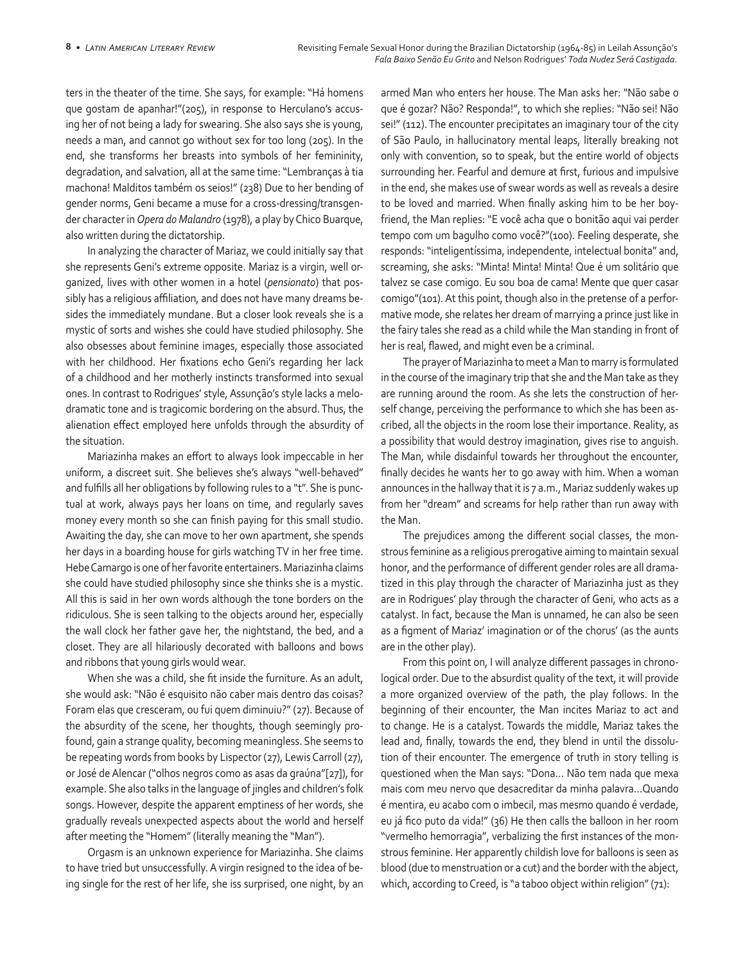ters in the theater of the time. She says, for example: "Há homens que gostam de apanhar!"(205), in response to Herculano's accusing her of not being a lady for swearing. She also says she is young, needs a man, and cannot go without sex for too long (205). In the end, she transforms her breasts into symbols of her femininity, degradation, and salvation, all at the same time: "Lembranças à tia machona! Malditos também os seios!" (238) Due to her bending of gender norms, Geni became a muse for a cross-dressing/transgender character in *Opera do Malandro* (1978), a play by Chico Buarque, also written during the dictatorship.

In analyzing the character of Mariaz, we could initially say that she represents Geni's extreme opposite. Mariaz is a virgin, well organized, lives with other women in a hotel (*pensionato*) that possibly has a religious affiliation, and does not have many dreams besides the immediately mundane. But a closer look reveals she is a mystic of sorts and wishes she could have studied philosophy. She also obsesses about feminine images, especially those associated with her childhood. Her fixations echo Geni's regarding her lack of a childhood and her motherly instincts transformed into sexual ones. In contrast to Rodrigues' style, Assunção's style lacks a melodramatic tone and is tragicomic bordering on the absurd. Thus, the alienation effect employed here unfolds through the absurdity of the situation.

Mariazinha makes an effort to always look impeccable in her uniform, a discreet suit. She believes she's always "well-behaved" and fulfills all her obligations by following rules to a "t". She is punctual at work, always pays her loans on time, and regularly saves money every month so she can finish paying for this small studio. Awaiting the day, she can move to her own apartment, she spends her days in a boarding house for girls watching TV in her free time. Hebe Camargo is one of her favorite entertainers. Mariazinha claims she could have studied philosophy since she thinks she is a mystic. All this is said in her own words although the tone borders on the ridiculous. She is seen talking to the objects around her, especially the wall clock her father gave her, the nightstand, the bed, and a closet. They are all hilariously decorated with balloons and bows and ribbons that young girls would wear.

When she was a child, she fit inside the furniture. As an adult, she would ask: "Não é esquisito não caber mais dentro das coisas? Foram elas que cresceram, ou fui quem diminuiu?" (27). Because of the absurdity of the scene, her thoughts, though seemingly profound, gain a strange quality, becoming meaningless. She seems to be repeating words from books by Lispector (27), Lewis Carroll (27), or José de Alencar ("olhos negros como as asas da graúna"[27]), for example. She also talks in the language of jingles and children's folk songs. However, despite the apparent emptiness of her words, she gradually reveals unexpected aspects about the world and herself after meeting the "Homem" (literally meaning the "Man").

Orgasm is an unknown experience for Mariazinha. She claims to have tried but unsuccessfully. A virgin resigned to the idea of being single for the rest of her life, she iss surprised, one night, by an

armed Man who enters her house. The Man asks her: "Não sabe o que é gozar? Não? Responda!", to which she replies: "Não sei! Não sei!" (112). The encounter precipitates an imaginary tour of the city of São Paulo, in hallucinatory mental leaps, literally breaking not only with convention, so to speak, but the entire world of objects surrounding her. Fearful and demure at first, furious and impulsive in the end, she makes use of swear words as well as reveals a desire to be loved and married. When finally asking him to be her boyfriend, the Man replies: "E você acha que o bonitão aqui vai perder tempo com um bagulho como você?"(100). Feeling desperate, she responds: "inteligentíssima, independente, intelectual bonita" and, screaming, she asks: "Minta! Minta! Minta! Que é um solitário que talvez se case comigo. Eu sou boa de cama! Mente que quer casar comigo"(101). At this point, though also in the pretense of a performative mode, she relates her dream of marrying a prince just like in the fairy tales she read as a child while the Man standing in front of her is real, flawed, and might even be a criminal.

The prayer of Mariazinha to meet a Man to marry is formulated in the course of the imaginary trip that she and the Man take as they are running around the room. As she lets the construction of herself change, perceiving the performance to which she has been ascribed, all the objects in the room lose their importance. Reality, as a possibility that would destroy imagination, gives rise to anguish. The Man, while disdainful towards her throughout the encounter, finally decides he wants her to go away with him. When a woman announces in the hallway that it is 7 a.m., Mariaz suddenly wakes up from her "dream" and screams for help rather than run away with the Man.

The prejudices among the different social classes, the monstrous feminine as a religious prerogative aiming to maintain sexual honor, and the performance of different gender roles are all dramatized in this play through the character of Mariazinha just as they are in Rodrigues' play through the character of Geni, who acts as a catalyst. In fact, because the Man is unnamed, he can also be seen as a figment of Mariaz' imagination or of the chorus' (as the aunts are in the other play).

From this point on, I will analyze different passages in chronological order. Due to the absurdist quality of the text, it will provide a more organized overview of the path, the play follows. In the beginning of their encounter, the Man incites Mariaz to act and to change. He is a catalyst. Towards the middle, Mariaz takes the lead and, finally, towards the end, they blend in until the dissolution of their encounter. The emergence of truth in story telling is questioned when the Man says: "Dona… Não tem nada que mexa mais com meu nervo que desacreditar da minha palavra…Quando é mentira, eu acabo com o imbecil, mas mesmo quando é verdade, eu já fico puto da vida!" (36) He then calls the balloon in her room "vermelho hemorragia", verbalizing the first instances of the monstrous feminine. Her apparently childish love for balloons is seen as blood (due to menstruation or a cut) and the border with the abject, which, according to Creed, is "a taboo object within religion" (71):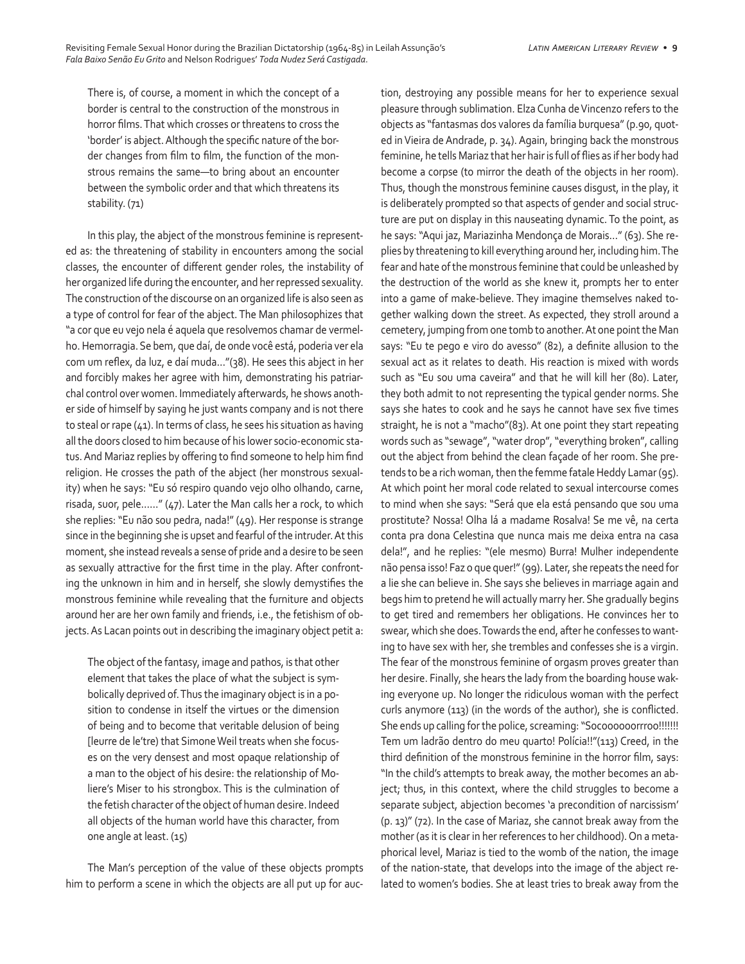There is, of course, a moment in which the concept of a border is central to the construction of the monstrous in horror films. That which crosses or threatens to cross the 'border' is abject. Although the specific nature of the border changes from film to film, the function of the monstrous remains the same—to bring about an encounter between the symbolic order and that which threatens its stability. (71)

In this play, the abject of the monstrous feminine is represented as: the threatening of stability in encounters among the social classes, the encounter of different gender roles, the instability of her organized life during the encounter, and her repressed sexuality. The construction of the discourse on an organized life is also seen as a type of control for fear of the abject. The Man philosophizes that "a cor que eu vejo nela é aquela que resolvemos chamar de vermelho. Hemorragia. Se bem, que daí, de onde você está, poderia ver ela com um reflex, da luz, e daí muda…"(38). He sees this abject in her and forcibly makes her agree with him, demonstrating his patriarchal control over women. Immediately afterwards, he shows another side of himself by saying he just wants company and is not there to steal or rape (41). In terms of class, he sees his situation as having all the doors closed to him because of his lower socio-economic status. And Mariaz replies by offering to find someone to help him find religion. He crosses the path of the abject (her monstrous sexuality) when he says: "Eu só respiro quando vejo olho olhando, carne, risada, suor, pele……" (47). Later the Man calls her a rock, to which she replies: "Eu não sou pedra, nada!" (49). Her response is strange since in the beginning she is upset and fearful of the intruder. At this moment, she instead reveals a sense of pride and a desire to be seen as sexually attractive for the first time in the play. After confronting the unknown in him and in herself, she slowly demystifies the monstrous feminine while revealing that the furniture and objects around her are her own family and friends, i.e., the fetishism of objects. As Lacan points out in describing the imaginary object petit a:

The object of the fantasy, image and pathos, is that other element that takes the place of what the subject is symbolically deprived of. Thus the imaginary object is in a position to condense in itself the virtues or the dimension of being and to become that veritable delusion of being [leurre de le'tre) that Simone Weil treats when she focuses on the very densest and most opaque relationship of a man to the object of his desire: the relationship of Moliere's Miser to his strongbox. This is the culmination of the fetish character of the object of human desire. Indeed all objects of the human world have this character, from one angle at least. (15)

The Man's perception of the value of these objects prompts him to perform a scene in which the objects are all put up for auction, destroying any possible means for her to experience sexual pleasure through sublimation. Elza Cunha de Vincenzo refers to the objects as "fantasmas dos valores da família burquesa" (p.90, quoted in Vieira de Andrade, p. 34). Again, bringing back the monstrous feminine, he tells Mariaz that her hair is full of flies as if her body had become a corpse (to mirror the death of the objects in her room). Thus, though the monstrous feminine causes disgust, in the play, it is deliberately prompted so that aspects of gender and social structure are put on display in this nauseating dynamic. To the point, as he says: "Aqui jaz, Mariazinha Mendonça de Morais…" (63). She replies by threatening to kill everything around her, including him. The fear and hate of the monstrous feminine that could be unleashed by the destruction of the world as she knew it, prompts her to enter into a game of make-believe. They imagine themselves naked together walking down the street. As expected, they stroll around a cemetery, jumping from one tomb to another. At one point the Man says: "Eu te pego e viro do avesso" (82), a definite allusion to the sexual act as it relates to death. His reaction is mixed with words such as "Eu sou uma caveira" and that he will kill her (80). Later, they both admit to not representing the typical gender norms. She says she hates to cook and he says he cannot have sex five times straight, he is not a "macho"(83). At one point they start repeating words such as "sewage", "water drop", "everything broken", calling out the abject from behind the clean façade of her room. She pretends to be a rich woman, then the femme fatale Heddy Lamar (95). At which point her moral code related to sexual intercourse comes to mind when she says: "Será que ela está pensando que sou uma prostitute? Nossa! Olha lá a madame Rosalva! Se me vê, na certa conta pra dona Celestina que nunca mais me deixa entra na casa dela!", and he replies: "(ele mesmo) Burra! Mulher independente não pensa isso! Faz o que quer!" (99). Later, she repeats the need for a lie she can believe in. She says she believes in marriage again and begs him to pretend he will actually marry her. She gradually begins to get tired and remembers her obligations. He convinces her to swear, which she does. Towards the end, after he confesses to wanting to have sex with her, she trembles and confesses she is a virgin. The fear of the monstrous feminine of orgasm proves greater than her desire. Finally, she hears the lady from the boarding house waking everyone up. No longer the ridiculous woman with the perfect curls anymore (113) (in the words of the author), she is conflicted. She ends up calling for the police, screaming: "Socoooooorrroo!!!!!!! Tem um ladrão dentro do meu quarto! Polícia!!"(113) Creed, in the third definition of the monstrous feminine in the horror film, says: "In the child's attempts to break away, the mother becomes an abject; thus, in this context, where the child struggles to become a separate subject, abjection becomes 'a precondition of narcissism' (p. 13)" (72). In the case of Mariaz, she cannot break away from the mother (as it is clear in her references to her childhood). On a metaphorical level, Mariaz is tied to the womb of the nation, the image of the nation-state, that develops into the image of the abject related to women's bodies. She at least tries to break away from the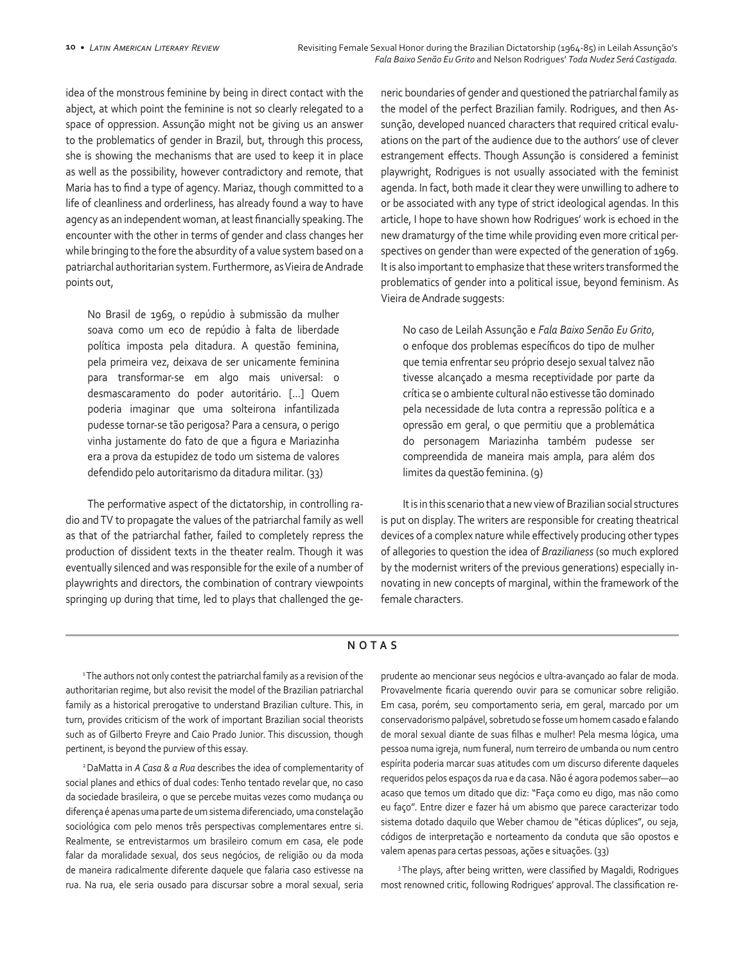idea of the monstrous feminine by being in direct contact with the abject, at which point the feminine is not so clearly relegated to a space of oppression. Assunção might not be giving us an answer to the problematics of gender in Brazil, but, through this process, she is showing the mechanisms that are used to keep it in place as well as the possibility, however contradictory and remote, that Maria has to find a type of agency. Mariaz, though committed to a life of cleanliness and orderliness, has already found a way to have agency as an independent woman, at least financially speaking. The encounter with the other in terms of gender and class changes her while bringing to the fore the absurdity of a value system based on a patriarchal authoritarian system. Furthermore, as Vieira de Andrade points out,

No Brasil de 1969, o repúdio à submissão da mulher soava como um eco de repúdio à falta de liberdade política imposta pela ditadura. A questão feminina, pela primeira vez, deixava de ser unicamente feminina para transformar-se em algo mais universal: o desmascaramento do poder autoritário. [...] Quem poderia imaginar que uma solteirona infantilizada pudesse tornar-se tão perigosa? Para a censura, o perigo vinha justamente do fato de que a figura e Mariazinha era a prova da estupidez de todo um sistema de valores defendido pelo autoritarismo da ditadura militar. (33)

The performative aspect of the dictatorship, in controlling radio and TV to propagate the values of the patriarchal family as well as that of the patriarchal father, failed to completely repress the production of dissident texts in the theater realm. Though it was eventually silenced and was responsible for the exile of a number of playwrights and directors, the combination of contrary viewpoints springing up during that time, led to plays that challenged the generic boundaries of gender and questioned the patriarchal family as the model of the perfect Brazilian family. Rodrigues, and then Assunção, developed nuanced characters that required critical evaluations on the part of the audience due to the authors' use of clever estrangement effects. Though Assunção is considered a feminist playwright, Rodrigues is not usually associated with the feminist agenda. In fact, both made it clear they were unwilling to adhere to or be associated with any type of strict ideological agendas. In this article, I hope to have shown how Rodrigues' work is echoed in the new dramaturgy of the time while providing even more critical perspectives on gender than were expected of the generation of 1969. It is also important to emphasize that these writers transformed the problematics of gender into a political issue, beyond feminism. As Vieira de Andrade suggests:

No caso de Leilah Assunção e *Fala Baixo Senão Eu Grito*, o enfoque dos problemas específicos do tipo de mulher que temia enfrentar seu próprio desejo sexual talvez não tivesse alcançado a mesma receptividade por parte da crítica se o ambiente cultural não estivesse tão dominado pela necessidade de luta contra a repressão política e a opressão em geral, o que permitiu que a problemática do personagem Mariazinha também pudesse ser compreendida de maneira mais ampla, para além dos limites da questão feminina. (9)

It is in this scenario that a new view of Brazilian social structures is put on display. The writers are responsible for creating theatrical devices of a complex nature while effectively producing other types of allegories to question the idea of *Brazilianess* (so much explored by the modernist writers of the previous generations) especially innovating in new concepts of marginal, within the framework of the female characters.

## **NOTAS**

<sup>1</sup> The authors not only contest the patriarchal family as a revision of the authoritarian regime, but also revisit the model of the Brazilian patriarchal family as a historical prerogative to understand Brazilian culture. This, in turn, provides criticism of the work of important Brazilian social theorists such as of Gilberto Freyre and Caio Prado Junior. This discussion, though pertinent, is beyond the purview of this essay.

2 DaMatta in *A Casa & a Rua* describes the idea of complementarity of social planes and ethics of dual codes: Tenho tentado revelar que, no caso da sociedade brasileira, o que se percebe muitas vezes como mudança ou diferença é apenas uma parte de um sistema diferenciado, uma constelação sociológica com pelo menos três perspectivas complementares entre si. Realmente, se entrevistarmos um brasileiro comum em casa, ele pode falar da moralidade sexual, dos seus negócios, de religião ou da moda de maneira radicalmente diferente daquele que falaria caso estivesse na rua. Na rua, ele seria ousado para discursar sobre a moral sexual, seria prudente ao mencionar seus negócios e ultra-avançado ao falar de moda. Provavelmente ficaria querendo ouvir para se comunicar sobre religião. Em casa, porém, seu comportamento seria, em geral, marcado por um conservadorismo palpável, sobretudo se fosse um homem casado e falando de moral sexual diante de suas filhas e mulher! Pela mesma lógica, uma pessoa numa igreja, num funeral, num terreiro de umbanda ou num centro espírita poderia marcar suas atitudes com um discurso diferente daqueles requeridos pelos espaços da rua e da casa. Não é agora podemos saber—ao acaso que temos um ditado que diz: "Faça como eu digo, mas não como eu faço". Entre dizer e fazer há um abismo que parece caracterizar todo sistema dotado daquilo que Weber chamou de "éticas dúplices", ou seja, códigos de interpretação e norteamento da conduta que são opostos e valem apenas para certas pessoas, ações e situações. (33)

<sup>3</sup>The plays, after being written, were classified by Magaldi, Rodrigues most renowned critic, following Rodrigues' approval. The classification re